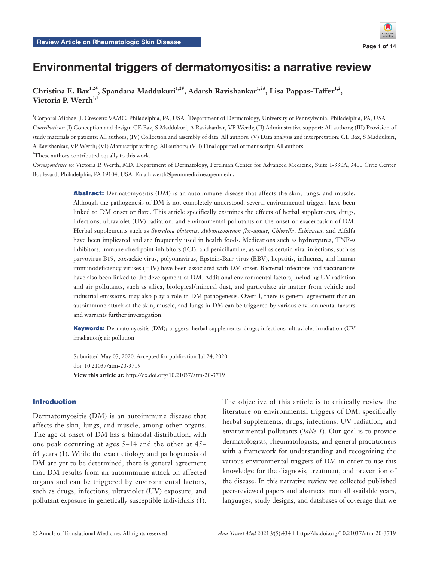# Environmental triggers of dermatomyositis: a narrative review

Christina E. Bax<sup>1,2#</sup>, Spandana Maddukuri<sup>1,2#</sup>, Adarsh Ravishankar<sup>1,2#</sup>, Lisa Pappas-Taffer<sup>1,2</sup>, Victoria P. Werth<sup>1,2</sup>

<sup>1</sup>Corporal Michael J. Crescenz VAMC, Philadelphia, PA, USA; <sup>2</sup>Department of Dermatology, University of Pennsylvania, Philadelphia, PA, USA *Contributions:* (I) Conception and design: CE Bax, S Maddukuri, A Ravishankar, VP Werth; (II) Administrative support: All authors; (III) Provision of study materials or patients: All authors; (IV) Collection and assembly of data: All authors; (V) Data analysis and interpretation: CE Bax, S Maddukuri, A Ravishankar, VP Werth; (VI) Manuscript writing: All authors; (VII) Final approval of manuscript: All authors.

# These authors contributed equally to this work.

*Correspondence to:* Victoria P. Werth, MD. Department of Dermatology, Perelman Center for Advanced Medicine, Suite 1-330A, 3400 Civic Center Boulevard, Philadelphia, PA 19104, USA. Email: werth@pennmedicine.upenn.edu.

> Abstract: Dermatomyositis (DM) is an autoimmune disease that affects the skin, lungs, and muscle. Although the pathogenesis of DM is not completely understood, several environmental triggers have been linked to DM onset or flare. This article specifically examines the effects of herbal supplements, drugs, infections, ultraviolet (UV) radiation, and environmental pollutants on the onset or exacerbation of DM. Herbal supplements such as *Spirulina platensis*, *Aphanizomenon flos-aquae*, *Chlorella*, *Echinacea*, and Alfalfa have been implicated and are frequently used in health foods. Medications such as hydroxyurea, TNF-α inhibitors, immune checkpoint inhibitors (ICI), and penicillamine, as well as certain viral infections, such as parvovirus B19, coxsackie virus, polyomavirus, Epstein-Barr virus (EBV), hepatitis, influenza, and human immunodeficiency viruses (HIV) have been associated with DM onset. Bacterial infections and vaccinations have also been linked to the development of DM. Additional environmental factors, including UV radiation and air pollutants, such as silica, biological/mineral dust, and particulate air matter from vehicle and industrial emissions, may also play a role in DM pathogenesis. Overall, there is general agreement that an autoimmune attack of the skin, muscle, and lungs in DM can be triggered by various environmental factors and warrants further investigation.

> Keywords: Dermatomyositis (DM); triggers; herbal supplements; drugs; infections; ultraviolet irradiation (UV irradiation); air pollution

Submitted May 07, 2020. Accepted for publication Jul 24, 2020. doi: 10.21037/atm-20-3719 **View this article at:** http://dx.doi.org/10.21037/atm-20-3719

#### Introduction

Dermatomyositis (DM) is an autoimmune disease that affects the skin, lungs, and muscle, among other organs. The age of onset of DM has a bimodal distribution, with one peak occurring at ages 5–14 and the other at 45– 64 years (1). While the exact etiology and pathogenesis of DM are yet to be determined, there is general agreement that DM results from an autoimmune attack on affected organs and can be triggered by environmental factors, such as drugs, infections, ultraviolet (UV) exposure, and pollutant exposure in genetically susceptible individuals (1).

The objective of this article is to critically review the literature on environmental triggers of DM, specifically herbal supplements, drugs, infections, UV radiation, and environmental pollutants (*Table 1*). Our goal is to provide dermatologists, rheumatologists, and general practitioners with a framework for understanding and recognizing the various environmental triggers of DM in order to use this knowledge for the diagnosis, treatment, and prevention of the disease. In this narrative review we collected published peer-reviewed papers and abstracts from all available years, languages, study designs, and databases of coverage that we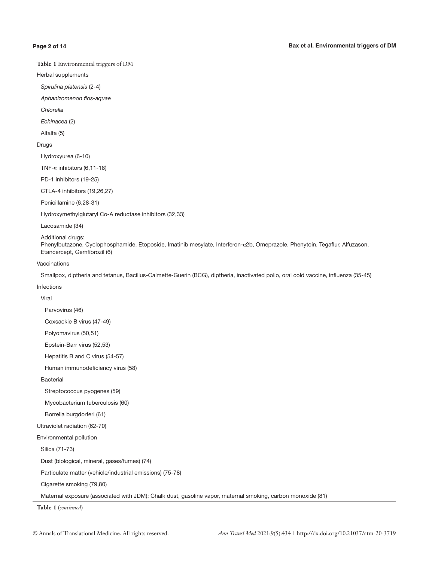Herbal supplements

Spirulina platensis (2-4)

Aphanizomenon flos-aquae

**Chlorella** 

Echinacea (2)

Alfalfa (5)

#### Drugs

Hydroxyurea (6-10)

TNF-α inhibitors (6,11-18)

PD-1 inhibitors (19-25)

CTLA-4 inhibitors (19,26,27)

Penicillamine (6,28-31)

Hydroxymethylglutaryl Co-A reductase inhibitors (32,33)

Lacosamide (34)

Additional drugs:

Phenylbutazone, Cyclophosphamide, Etoposide, Imatinib mesylate, Interferon-α2b, Omeprazole, Phenytoin, Tegaflur, Alfuzason, Etancercept, Gemfibrozil (6)

Vaccinations

Smallpox, diptheria and tetanus, Bacillus-Calmette-Guerin (BCG), diptheria, inactivated polio, oral cold vaccine, influenza (35-45)

Infections

Viral

Parvovirus (46)

Coxsackie B virus (47-49)

Polyomavirus (50,51)

Epstein-Barr virus (52,53)

Hepatitis B and C virus (54-57)

Human immunodeficiency virus (58)

Bacterial

Streptococcus pyogenes (59)

Mycobacterium tuberculosis (60)

Borrelia burgdorferi (61)

Ultraviolet radiation (62-70)

Environmental pollution

Silica (71-73)

Dust (biological, mineral, gases/fumes) (74)

Particulate matter (vehicle/industrial emissions) (75-78)

Cigarette smoking (79,80)

Maternal exposure (associated with JDM): Chalk dust, gasoline vapor, maternal smoking, carbon monoxide (81)

**Table 1** (*continued*)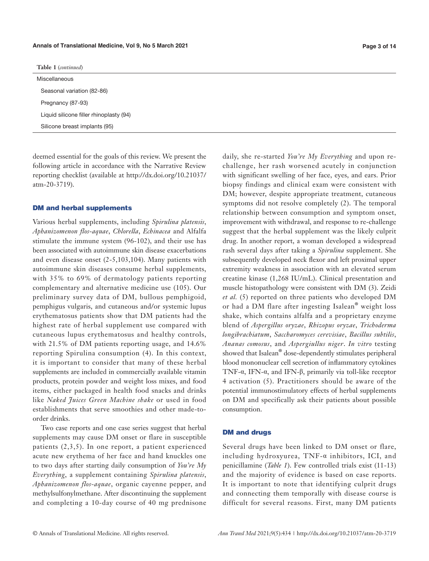#### **Annals of Translational Medicine, Vol 9, No 5 March 2021 Page 3 of 14**

**Table 1** (*continued*)

Miscellaneous Seasonal variation (82-86) Pregnancy (87-93) Liquid silicone filler rhinoplasty (94) Silicone breast implants (95)

deemed essential for the goals of this review. We present the following article in accordance with the Narrative Review reporting checklist (available at [http://dx.doi.org/10.21037/](http://dx.doi.org/10.21037/atm-20-3719) [atm-20-3719\)](http://dx.doi.org/10.21037/atm-20-3719).

#### DM and herbal supplements

Various herbal supplements, including *Spirulina platensis*, *Aphanizomenon flos*-*aquae*, *Chlorella*, *Echinacea* and Alfalfa stimulate the immune system (96-102), and their use has been associated with autoimmune skin disease exacerbations and even disease onset (2-5,103,104). Many patients with autoimmune skin diseases consume herbal supplements, with 35% to 69% of dermatology patients reporting complementary and alternative medicine use (105). Our preliminary survey data of DM, bullous pemphigoid, pemphigus vulgaris, and cutaneous and/or systemic lupus erythematosus patients show that DM patients had the highest rate of herbal supplement use compared with cutaneous lupus erythematosus and healthy controls, with 21.5% of DM patients reporting usage, and 14.6% reporting Spirulina consumption (4). In this context, it is important to consider that many of these herbal supplements are included in commercially available vitamin products, protein powder and weight loss mixes, and food items, either packaged in health food snacks and drinks like *Naked Juices Green Machine shake* or used in food establishments that serve smoothies and other made-toorder drinks.

Two case reports and one case series suggest that herbal supplements may cause DM onset or flare in susceptible patients (2,3,5). In one report, a patient experienced acute new erythema of her face and hand knuckles one to two days after starting daily consumption of *You're My Everything*, a supplement containing *Spirulina platensis*, *Aphanizomenon flos-aquae*, organic cayenne pepper, and methylsulfonylmethane. After discontinuing the supplement and completing a 10-day course of 40 mg prednisone daily, she re-started *You're My Everything* and upon rechallenge, her rash worsened acutely in conjunction with significant swelling of her face, eyes, and ears. Prior biopsy findings and clinical exam were consistent with DM; however, despite appropriate treatment, cutaneous symptoms did not resolve completely (2). The temporal relationship between consumption and symptom onset, improvement with withdrawal, and response to re-challenge suggest that the herbal supplement was the likely culprit drug. In another report, a woman developed a widespread rash several days after taking a *Spirulina* supplement. She subsequently developed neck flexor and left proximal upper extremity weakness in association with an elevated serum creatine kinase (1,268 IU/mL). Clinical presentation and muscle histopathology were consistent with DM (3). Zeidi *et al.* (5) reported on three patients who developed DM or had a DM flare after ingesting Isalean**®** weight loss shake, which contains alfalfa and a proprietary enzyme blend of *Aspergillus oryzae*, *Rhizopus oryzae*, *Trichoderma longibrachiatum*, *Saccharomyces cerevisiae*, *Bacillus subtilis*, *Ananas comosus*, and *Aspergiullus niger*. *In vitro* testing showed that Isalean**®** dose-dependently stimulates peripheral blood mononuclear cell secretion of inflammatory cytokines TNF-α, IFN-α, and IFN-β, primarily via toll-like receptor 4 activation (5). Practitioners should be aware of the potential immunostimulatory effects of herbal supplements on DM and specifically ask their patients about possible consumption.

#### DM and drugs

Several drugs have been linked to DM onset or flare, including hydroxyurea, TNF-α inhibitors, ICI, and penicillamine (*Table 1*). Few controlled trials exist (11-13) and the majority of evidence is based on case reports. It is important to note that identifying culprit drugs and connecting them temporally with disease course is difficult for several reasons. First, many DM patients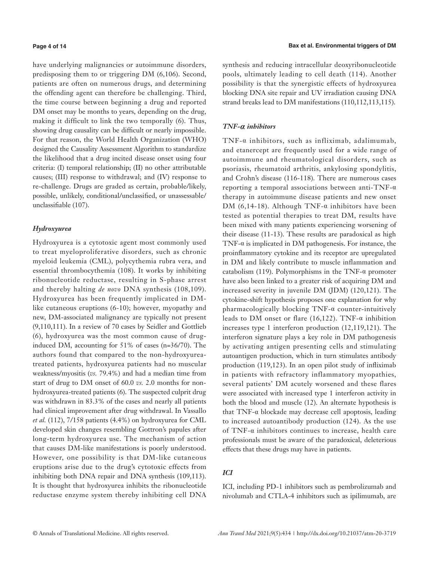#### **Page 4 of 14**

have underlying malignancies or autoimmune disorders, predisposing them to or triggering DM (6,106). Second, patients are often on numerous drugs, and determining the offending agent can therefore be challenging. Third, the time course between beginning a drug and reported DM onset may be months to years, depending on the drug, making it difficult to link the two temporally (6). Thus, showing drug causality can be difficult or nearly impossible. For that reason, the World Health Organization (WHO) designed the Causality Assessment Algorithm to standardize the likelihood that a drug incited disease onset using four criteria: (I) temporal relationship; (II) no other attributable causes; (III) response to withdrawal; and (IV) response to re-challenge. Drugs are graded as certain, probable/likely, possible, unlikely, conditional/unclassified, or unassessable/ unclassifiable (107).

# *Hydroxyurea*

Hydroxyurea is a cytotoxic agent most commonly used to treat myeloproliferative disorders, such as chronic myeloid leukemia (CML), polycythemia rubra vera, and essential thrombocythemia (108). It works by inhibiting ribonucleotide reductase, resulting in S-phase arrest and thereby halting *de novo* DNA synthesis (108,109). Hydroxyurea has been frequently implicated in DMlike cutaneous eruptions (6-10); however, myopathy and new, DM-associated malignancy are typically not present (9,110,111). In a review of 70 cases by Seidler and Gottlieb (6), hydroxyurea was the most common cause of druginduced DM, accounting for 51% of cases (n=36/70). The authors found that compared to the non-hydroxyureatreated patients, hydroxyurea patients had no muscular weakness/myositis (*vs.* 79.4%) and had a median time from start of drug to DM onset of 60.0 *vs.* 2.0 months for nonhydroxyurea-treated patients (6). The suspected culprit drug was withdrawn in 83.3% of the cases and nearly all patients had clinical improvement after drug withdrawal. In Vassallo *et al.* (112), 7/158 patients (4.4%) on hydroxyurea for CML developed skin changes resembling Gottron's papules after long-term hydroxyurea use. The mechanism of action that causes DM-like manifestations is poorly understood. However, one possibility is that DM-like cutaneous eruptions arise due to the drug's cytotoxic effects from inhibiting both DNA repair and DNA synthesis (109,113). It is thought that hydroxyurea inhibits the ribonucleotide reductase enzyme system thereby inhibiting cell DNA synthesis and reducing intracellular deoxyribonucleotide pools, ultimately leading to cell death (114). Another possibility is that the synergistic effects of hydroxyurea blocking DNA site repair and UV irradiation causing DNA strand breaks lead to DM manifestations (110,112,113,115).

# *TNF-α inhibitors*

TNF-α inhibitors, such as infliximab, adalimumab, and etanercept are frequently used for a wide range of autoimmune and rheumatological disorders, such as psoriasis, rheumatoid arthritis, ankylosing spondylitis, and Crohn's disease (116-118). There are numerous cases reporting a temporal associations between anti-TNF-α therapy in autoimmune disease patients and new onset DM (6,14-18). Although TNF- $\alpha$  inhibitors have been tested as potential therapies to treat DM, results have been mixed with many patients experiencing worsening of their disease (11-13). These results are paradoxical as high TNF- $\alpha$  is implicated in DM pathogenesis. For instance, the proinflammatory cytokine and its receptor are upregulated in DM and likely contribute to muscle inflammation and catabolism (119). Polymorphisms in the TNF-α promoter have also been linked to a greater risk of acquiring DM and increased severity in juvenile DM (JDM) (120,121). The cytokine-shift hypothesis proposes one explanation for why pharmacologically blocking TNF-α counter-intuitively leads to DM onset or flare (16,122). TNF- $\alpha$  inhibition increases type 1 interferon production (12,119,121). The interferon signature plays a key role in DM pathogenesis by activating antigen presenting cells and stimulating autoantigen production, which in turn stimulates antibody production (119,123). In an open pilot study of infliximab in patients with refractory inflammatory myopathies, several patients' DM acutely worsened and these flares were associated with increased type 1 interferon activity in both the blood and muscle (12). An alternate hypothesis is that TNF-α blockade may decrease cell apoptosis, leading to increased autoantibody production (124). As the use of TNF-α inhibitors continues to increase, health care professionals must be aware of the paradoxical, deleterious effects that these drugs may have in patients.

# *ICI*

ICI, including PD-1 inhibitors such as pembrolizumab and nivolumab and CTLA-4 inhibitors such as ipilimumab, are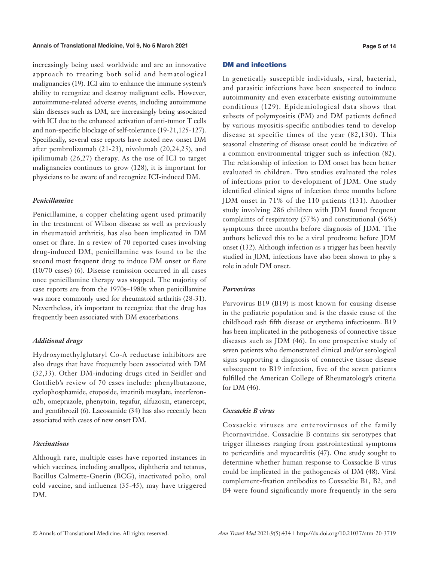increasingly being used worldwide and are an innovative approach to treating both solid and hematological malignancies (19). ICI aim to enhance the immune system's ability to recognize and destroy malignant cells. However, autoimmune-related adverse events, including autoimmune skin diseases such as DM, are increasingly being associated with ICI due to the enhanced activation of anti-tumor T cells and non-specific blockage of self-tolerance (19-21,125-127). Specifically, several case reports have noted new onset DM after pembrolizumab (21-23), nivolumab (20,24,25), and ipilimumab (26,27) therapy. As the use of ICI to target malignancies continues to grow (128), it is important for physicians to be aware of and recognize ICI-induced DM.

# *Penicillamine*

Penicillamine, a copper chelating agent used primarily in the treatment of Wilson disease as well as previously in rheumatoid arthritis, has also been implicated in DM onset or flare. In a review of 70 reported cases involving drug-induced DM, penicillamine was found to be the second most frequent drug to induce DM onset or flare (10/70 cases) (6). Disease remission occurred in all cases once penicillamine therapy was stopped. The majority of case reports are from the 1970s–1980s when penicillamine was more commonly used for rheumatoid arthritis (28-31). Nevertheless, it's important to recognize that the drug has frequently been associated with DM exacerbations.

## *Additional drugs*

Hydroxymethylglutaryl Co-A reductase inhibitors are also drugs that have frequently been associated with DM (32,33). Other DM-inducing drugs cited in Seidler and Gottlieb's review of 70 cases include: phenylbutazone, cyclophosphamide, etoposide, imatinib mesylate, interferonα2b, omeprazole, phenytoin, tegafur, alfuzosin, etanercept, and gemfibrozil (6). Lacosamide (34) has also recently been associated with cases of new onset DM.

## *Vaccinations*

Although rare, multiple cases have reported instances in which vaccines, including smallpox, diphtheria and tetanus, Bacillus Calmette-Guerin (BCG), inactivated polio, oral cold vaccine, and influenza (35-45), may have triggered DM.

## DM and infections

In genetically susceptible individuals, viral, bacterial, and parasitic infections have been suspected to induce autoimmunity and even exacerbate existing autoimmune conditions (129). Epidemiological data shows that subsets of polymyositis (PM) and DM patients defined by various myositis-specific antibodies tend to develop disease at specific times of the year (82,130). This seasonal clustering of disease onset could be indicative of a common environmental trigger such as infection (82). The relationship of infection to DM onset has been better evaluated in children. Two studies evaluated the roles of infections prior to development of JDM. One study identified clinical signs of infection three months before JDM onset in 71% of the 110 patients (131). Another study involving 286 children with JDM found frequent complaints of respiratory (57%) and constitutional (56%) symptoms three months before diagnosis of JDM. The authors believed this to be a viral prodrome before JDM onset (132). Although infection as a trigger has been heavily studied in JDM, infections have also been shown to play a role in adult DM onset.

#### *Parvovirus*

Parvovirus B19 (B19) is most known for causing disease in the pediatric population and is the classic cause of the childhood rash fifth disease or erythema infectiosum. B19 has been implicated in the pathogenesis of connective tissue diseases such as JDM (46). In one prospective study of seven patients who demonstrated clinical and/or serological signs supporting a diagnosis of connective tissue disease subsequent to B19 infection, five of the seven patients fulfilled the American College of Rheumatology's criteria for DM (46).

## *Coxsackie B virus*

Coxsackie viruses are enteroviruses of the family Picornaviridae. Coxsackie B contains six serotypes that trigger illnesses ranging from gastrointestinal symptoms to pericarditis and myocarditis (47). One study sought to determine whether human response to Coxsackie B virus could be implicated in the pathogenesis of DM (48). Viral complement-fixation antibodies to Coxsackie B1, B2, and B4 were found significantly more frequently in the sera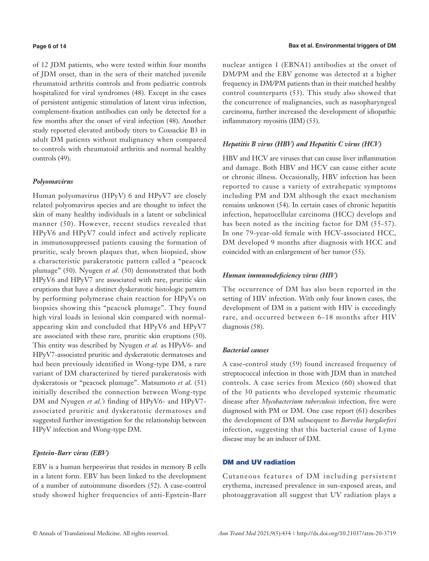#### **Page 6 of 14**

of 12 JDM patients, who were tested within four months of JDM onset, than in the sera of their matched juvenile rheumatoid arthritis controls and from pediatric controls hospitalized for viral syndromes (48). Except in the cases of persistent antigenic stimulation of latent virus infection, complement-fixation antibodies can only be detected for a few months after the onset of viral infection (48). Another study reported elevated antibody titers to Coxsackie B3 in adult DM patients without malignancy when compared to controls with rheumatoid arthritis and normal healthy controls (49).

## *Polyomavirus*

Human polyomavirus (HPyV) 6 and HPyV7 are closely related polyomavirus species and are thought to infect the skin of many healthy individuals in a latent or subclinical manner (50). However, recent studies revealed that HPyV6 and HPyV7 could infect and actively replicate in immunosuppressed patients causing the formation of pruritic, scaly brown plaques that, when biopsied, show a characteristic parakeratotic pattern called a "peacock plumage" (50). Nyugen *et al.* (50) demonstrated that both HPyV6 and HPyV7 are associated with rare, pruritic skin eruptions that have a distinct dyskeratotic histologic pattern by performing polymerase chain reaction for HPyVs on biopsies showing this "peacock plumage". They found high viral loads in lesional skin compared with normalappearing skin and concluded that HPyV6 and HPyV7 are associated with these rare, pruritic skin eruptions (50). This entity was described by Nyugen *et al.* as HPyV6- and HPyV7-associated pruritic and dyskeratotic dermatoses and had been previously identified in Wong-type DM, a rare variant of DM characterized by tiered parakeratosis with dyskeratosis or "peacock plumage". Matsumoto *et al.* (51) initially described the connection between Wong-type DM and Nyugen *et al.'s* finding of HPyV6- and HPyV7 associated pruritic and dyskeratotic dermatoses and suggested further investigation for the relationship between HPyV infection and Wong-type DM.

# *Epstein-Barr virus (EBV)*

EBV is a human herpesvirus that resides in memory B cells in a latent form. EBV has been linked to the development of a number of autoimmune disorders (52). A case-control study showed higher frequencies of anti-Epstein-Barr

nuclear antigen 1 (EBNA1) antibodies at the onset of DM/PM and the EBV genome was detected at a higher frequency in DM/PM patients than in their matched healthy control counterparts (53). This study also showed that the concurrence of malignancies, such as nasopharyngeal carcinoma, further increased the development of idiopathic inflammatory myositis (IIM) (53).

## *Hepatitis B virus (HBV) and Hepatitis C virus (HCV)*

HBV and HCV are viruses that can cause liver inflammation and damage. Both HBV and HCV can cause either acute or chronic illness. Occasionally, HBV infection has been reported to cause a variety of extrahepatic symptoms including PM and DM although the exact mechanism remains unknown (54). In certain cases of chronic hepatitis infection, hepatocellular carcinoma (HCC) develops and has been noted as the inciting factor for DM (55-57). In one 79-year-old female with HCV-associated HCC, DM developed 9 months after diagnosis with HCC and coincided with an enlargement of her tumor (55).

# *Human immunodeficiency virus (HIV)*

The occurrence of DM has also been reported in the setting of HIV infection. With only four known cases, the development of DM in a patient with HIV is exceedingly rare, and occurred between 6–18 months after HIV diagnosis (58).

#### *Bacterial causes*

A case-control study (59) found increased frequency of streptococcal infection in those with JDM than in matched controls. A case series from Mexico (60) showed that of the 30 patients who developed systemic rheumatic disease after *Mycobacterium tuberculosis* infection, five were diagnosed with PM or DM. One case report (61) describes the development of DM subsequent to *Borrelia burgdorferi* infection, suggesting that this bacterial cause of Lyme disease may be an inducer of DM.

#### DM and UV radiation

Cutaneous features of DM including persistent erythema, increased prevalence in sun-exposed areas, and photoaggravation all suggest that UV radiation plays a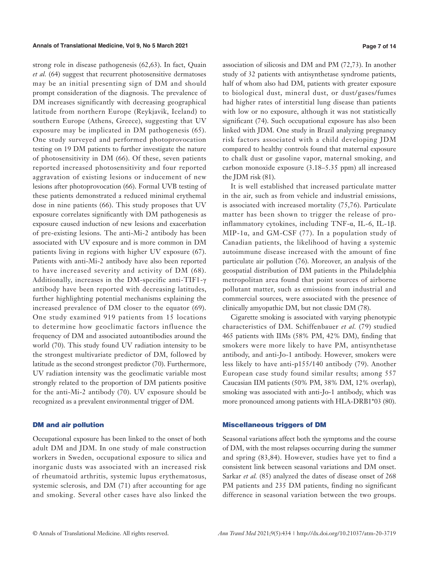strong role in disease pathogenesis (62,63). In fact, Quain *et al.* (64) suggest that recurrent photosensitive dermatoses may be an initial presenting sign of DM and should prompt consideration of the diagnosis. The prevalence of DM increases significantly with decreasing geographical latitude from northern Europe (Reykjavik, Iceland) to southern Europe (Athens, Greece), suggesting that UV exposure may be implicated in DM pathogenesis (65). One study surveyed and performed photoprovocation testing on 19 DM patients to further investigate the nature of photosensitivity in DM (66). Of these, seven patients reported increased photosensitivity and four reported aggravation of existing lesions or inducement of new lesions after photoprovocation (66). Formal UVB testing of these patients demonstrated a reduced minimal erythemal dose in nine patients (66). This study proposes that UV exposure correlates significantly with DM pathogenesis as exposure caused induction of new lesions and exacerbation of pre-existing lesions. The anti-Mi-2 antibody has been associated with UV exposure and is more common in DM patients living in regions with higher UV exposure (67). Patients with anti-Mi-2 antibody have also been reported to have increased severity and activity of DM (68). Additionally, increases in the DM-specific anti-TIF1-γ antibody have been reported with decreasing latitudes, further highlighting potential mechanisms explaining the increased prevalence of DM closer to the equator (69). One study examined 919 patients from 15 locations to determine how geoclimatic factors influence the frequency of DM and associated autoantibodies around the world (70). This study found UV radiation intensity to be the strongest multivariate predictor of DM, followed by latitude as the second strongest predictor (70). Furthermore, UV radiation intensity was the geoclimatic variable most strongly related to the proportion of DM patients positive for the anti-Mi-2 antibody (70). UV exposure should be recognized as a prevalent environmental trigger of DM.

# DM and air pollution

Occupational exposure has been linked to the onset of both adult DM and JDM. In one study of male construction workers in Sweden, occupational exposure to silica and inorganic dusts was associated with an increased risk of rheumatoid arthritis, systemic lupus erythematosus, systemic sclerosis, and DM (71) after accounting for age and smoking. Several other cases have also linked the association of silicosis and DM and PM (72,73). In another study of 32 patients with antisynthetase syndrome patients, half of whom also had DM, patients with greater exposure to biological dust, mineral dust, or dust/gases/fumes had higher rates of interstitial lung disease than patients with low or no exposure, although it was not statistically significant (74). Such occupational exposure has also been linked with JDM. One study in Brazil analyzing pregnancy risk factors associated with a child developing JDM compared to healthy controls found that maternal exposure to chalk dust or gasoline vapor, maternal smoking, and carbon monoxide exposure (3.18–5.35 ppm) all increased the JDM risk (81).

It is well established that increased particulate matter in the air, such as from vehicle and industrial emissions, is associated with increased mortality (75,76). Particulate matter has been shown to trigger the release of proinflammatory cytokines, including TNF-α, IL-6, IL-1β. MIP-1 $\alpha$ , and GM-CSF (77). In a population study of Canadian patients, the likelihood of having a systemic autoimmune disease increased with the amount of fine particulate air pollution (76). Moreover, an analysis of the geospatial distribution of DM patients in the Philadelphia metropolitan area found that point sources of airborne pollutant matter, such as emissions from industrial and commercial sources, were associated with the presence of clinically amyopathic DM, but not classic DM (78).

Cigarette smoking is associated with varying phenotypic characteristics of DM. Schiffenbauer *et al.* (79) studied 465 patients with IIMs (58% PM, 42% DM), finding that smokers were more likely to have PM, antisynthetase antibody, and anti-Jo-1 antibody. However, smokers were less likely to have anti-p155/140 antibody (79). Another European case study found similar results; among 557 Caucasian IIM patients (50% PM, 38% DM, 12% overlap), smoking was associated with anti-Jo-1 antibody, which was more pronounced among patients with HLA-DRB1\*03 (80).

#### Miscellaneous triggers of DM

Seasonal variations affect both the symptoms and the course of DM, with the most relapses occurring during the summer and spring (83,84). However, studies have yet to find a consistent link between seasonal variations and DM onset. Sarkar *et al.* (85) analyzed the dates of disease onset of 268 PM patients and 235 DM patients, finding no significant difference in seasonal variation between the two groups.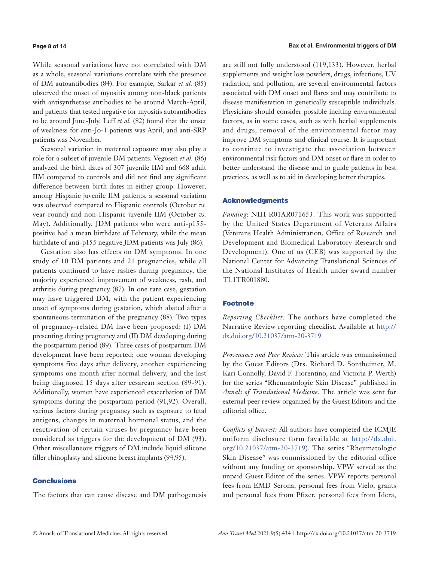#### **Page 8 of 14**

While seasonal variations have not correlated with DM as a whole, seasonal variations correlate with the presence of DM autoantibodies (84). For example, Sarkar *et al.* (85) observed the onset of myositis among non-black patients with antisynthetase antibodies to be around March-April, and patients that tested negative for myositis autoantibodies to be around June-July. Leff *et al.* (82) found that the onset of weakness for anti-Jo-1 patients was April, and anti-SRP patients was November.

Seasonal variation in maternal exposure may also play a role for a subset of juvenile DM patients. Vegosen *et al.* (86) analyzed the birth dates of 307 juvenile IIM and 668 adult IIM compared to controls and did not find any significant difference between birth dates in either group. However, among Hispanic juvenile IIM patients, a seasonal variation was observed compared to Hispanic controls (October *vs.* year-round) and non-Hispanic juvenile IIM (October *vs.* May). Additionally, JDM patients who were anti-p155 positive had a mean birthdate of February, while the mean birthdate of anti-p155 negative JDM patients was July (86).

Gestation also has effects on DM symptoms. In one study of 10 DM patients and 21 pregnancies, while all patients continued to have rashes during pregnancy, the majority experienced improvement of weakness, rash, and arthritis during pregnancy (87). In one rare case, gestation may have triggered DM, with the patient experiencing onset of symptoms during gestation, which abated after a spontaneous termination of the pregnancy (88). Two types of pregnancy-related DM have been proposed: (I) DM presenting during pregnancy and (II) DM developing during the postpartum period (89). Three cases of postpartum DM development have been reported; one woman developing symptoms five days after delivery, another experiencing symptoms one month after normal delivery, and the last being diagnosed 15 days after cesarean section (89-91). Additionally, women have experienced exacerbation of DM symptoms during the postpartum period (91,92). Overall, various factors during pregnancy such as exposure to fetal antigens, changes in maternal hormonal status, and the reactivation of certain viruses by pregnancy have been considered as triggers for the development of DM (93). Other miscellaneous triggers of DM include liquid silicone filler rhinoplasty and silicone breast implants (94,95).

# **Conclusions**

The factors that can cause disease and DM pathogenesis

are still not fully understood (119,133). However, herbal supplements and weight loss powders, drugs, infections, UV radiation, and pollution, are several environmental factors associated with DM onset and flares and may contribute to disease manifestation in genetically susceptible individuals. Physicians should consider possible inciting environmental factors, as in some cases, such as with herbal supplements and drugs, removal of the environmental factor may improve DM symptoms and clinical course. It is important to continue to investigate the association between environmental risk factors and DM onset or flare in order to better understand the disease and to guide patients in best practices, as well as to aid in developing better therapies.

#### Acknowledgments

*Funding*: NIH R01AR071653. This work was supported by the United States Department of Veterans Affairs (Veterans Health Administration, Office of Research and Development and Biomedical Laboratory Research and Development). One of us (CEB) was supported by the National Center for Advancing Translational Sciences of the National Institutes of Health under award number TL1TR001880.

#### **Footnote**

*Reporting Checklist:* The authors have completed the Narrative Review reporting checklist. Available at [http://](http://dx.doi.org/10.21037/atm-20-3719) [dx.doi.org/10.21037/atm-20-3719](http://dx.doi.org/10.21037/atm-20-3719)

*Provenance and Peer Review:* This article was commissioned by the Guest Editors (Drs. Richard D. Sontheimer, M. Kari Connolly, David F. Fiorentino, and Victoria P. Werth) for the series "Rheumatologic Skin Disease" published in *Annals of Translational Medicine*. The article was sent for external peer review organized by the Guest Editors and the editorial office.

*Conflicts of Interest:* All authors have completed the ICMJE uniform disclosure form (available at [http://dx.doi.](http://dx.doi.org/10.21037/atm-20-3719)) [org/10.21037/atm-20-3719\)](http://dx.doi.org/10.21037/atm-20-3719)). The series "Rheumatologic Skin Disease" was commissioned by the editorial office without any funding or sponsorship. VPW served as the unpaid Guest Editor of the series. VPW reports personal fees from EMD Serona, personal fees from Vielo, grants and personal fees from Pfizer, personal fees from Idera,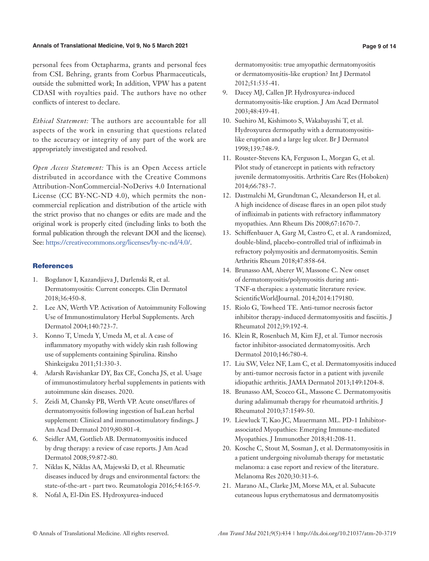#### **Annals of Translational Medicine, Vol 9, No 5 March 2021 Page 9 of 14**

personal fees from Octapharma, grants and personal fees from CSL Behring, grants from Corbus Pharmaceuticals, outside the submitted work; In addition, VPW has a patent CDASI with royalties paid. The authors have no other conflicts of interest to declare.

*Ethical Statement:* The authors are accountable for all aspects of the work in ensuring that questions related to the accuracy or integrity of any part of the work are appropriately investigated and resolved.

*Open Access Statement:* This is an Open Access article distributed in accordance with the Creative Commons Attribution-NonCommercial-NoDerivs 4.0 International License (CC BY-NC-ND 4.0), which permits the noncommercial replication and distribution of the article with the strict proviso that no changes or edits are made and the original work is properly cited (including links to both the formal publication through the relevant DOI and the license). See: [https://creativecommons.org/licenses/by-nc-nd/4.0/.](https://creativecommons.org/licenses/by-nc-nd/4.0/)

# **References**

- 1. Bogdanov I, Kazandjieva J, Darlenski R, et al. Dermatomyositis: Current concepts. Clin Dermatol 2018;36:450-8.
- 2. Lee AN, Werth VP. Activation of Autoimmunity Following Use of Immunostimulatory Herbal Supplements. Arch Dermatol 2004;140:723-7.
- 3. Konno T, Umeda Y, Umeda M, et al. A case of inflammatory myopathy with widely skin rash following use of supplements containing Spirulina. Rinsho Shinkeigaku 2011;51:330-3.
- 4. Adarsh Ravishankar DY, Bax CE, Concha JS, et al. Usage of immunostimulatory herbal supplements in patients with autoimmune skin diseases. 2020.
- 5. Zeidi M, Chansky PB, Werth VP. Acute onset/flares of dermatomyositis following ingestion of IsaLean herbal supplement: Clinical and immunostimulatory findings. J Am Acad Dermatol 2019;80:801-4.
- 6. Seidler AM, Gottlieb AB. Dermatomyositis induced by drug therapy: a review of case reports. J Am Acad Dermatol 2008;59:872-80.
- 7. Niklas K, Niklas AA, Majewski D, et al. Rheumatic diseases induced by drugs and environmental factors: the state-of-the-art - part two. Reumatologia 2016;54:165-9.
- 8. Nofal A, El-Din ES. Hydroxyurea-induced

dermatomyositis: true amyopathic dermatomyositis or dermatomyositis-like eruption? Int J Dermatol 2012;51:535-41.

- 9. Dacey MJ, Callen JP. Hydroxyurea-induced dermatomyositis-like eruption. J Am Acad Dermatol 2003;48:439-41.
- 10. Suehiro M, Kishimoto S, Wakabayashi T, et al. Hydroxyurea dermopathy with a dermatomyositislike eruption and a large leg ulcer. Br J Dermatol 1998;139:748-9.
- 11. Rouster-Stevens KA, Ferguson L, Morgan G, et al. Pilot study of etanercept in patients with refractory juvenile dermatomyositis. Arthritis Care Res (Hoboken) 2014;66:783-7.
- 12. Dastmalchi M, Grundtman C, Alexanderson H, et al. A high incidence of disease flares in an open pilot study of infliximab in patients with refractory inflammatory myopathies. Ann Rheum Dis 2008;67:1670-7.
- 13. Schiffenbauer A, Garg M, Castro C, et al. A randomized, double-blind, placebo-controlled trial of infliximab in refractory polymyositis and dermatomyositis. Semin Arthritis Rheum 2018;47:858-64.
- 14. Brunasso AM, Aberer W, Massone C. New onset of dermatomyositis/polymyositis during anti-TNF-α therapies: a systematic literature review. ScientificWorldJournal. 2014;2014:179180.
- 15. Riolo G, Towheed TE. Anti-tumor necrosis factor inhibitor therapy-induced dermatomyositis and fasciitis. J Rheumatol 2012;39:192-4.
- 16. Klein R, Rosenbach M, Kim EJ, et al. Tumor necrosis factor inhibitor-associated dermatomyositis. Arch Dermatol 2010;146:780-4.
- 17. Liu SW, Velez NF, Lam C, et al. Dermatomyositis induced by anti-tumor necrosis factor in a patient with juvenile idiopathic arthritis. JAMA Dermatol 2013;149:1204-8.
- 18. Brunasso AM, Scocco GL, Massone C. Dermatomyositis during adalimumab therapy for rheumatoid arthritis. J Rheumatol 2010;37:1549-50.
- 19. Liewluck T, Kao JC, Mauermann ML. PD-1 Inhibitorassociated Myopathies: Emerging Immune-mediated Myopathies. J Immunother 2018;41:208-11.
- 20. Kosche C, Stout M, Sosman J, et al. Dermatomyositis in a patient undergoing nivolumab therapy for metastatic melanoma: a case report and review of the literature. Melanoma Res 2020;30:313-6.
- 21. Marano AL, Clarke JM, Morse MA, et al. Subacute cutaneous lupus erythematosus and dermatomyositis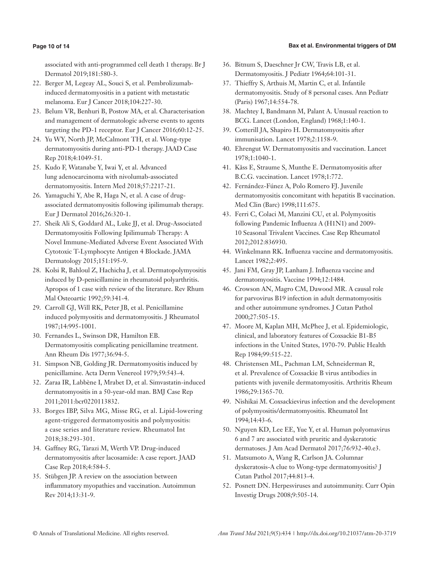# **Bax et al. Environmental triggers of DM**

# **Page 10 of 14**

associated with anti-programmed cell death 1 therapy. Br J Dermatol 2019;181:580-3.

- 22. Berger M, Legeay AL, Souci S, et al. Pembrolizumabinduced dermatomyositis in a patient with metastatic melanoma. Eur J Cancer 2018;104:227-30.
- 23. Belum VR, Benhuri B, Postow MA, et al. Characterisation and management of dermatologic adverse events to agents targeting the PD-1 receptor. Eur J Cancer 2016;60:12-25.
- 24. Yu WY, North JP, McCalmont TH, et al. Wong-type dermatomyositis during anti-PD-1 therapy. JAAD Case Rep 2018;4:1049-51.
- 25. Kudo F, Watanabe Y, Iwai Y, et al. Advanced lung adenocarcinoma with nivolumab-associated dermatomyositis. Intern Med 2018;57:2217-21.
- 26. Yamaguchi Y, Abe R, Haga N, et al. A case of drugassociated dermatomyositis following ipilimumab therapy. Eur J Dermatol 2016;26:320-1.
- 27. Sheik Ali S, Goddard AL, Luke JJ, et al. Drug-Associated Dermatomyositis Following Ipilimumab Therapy: A Novel Immune-Mediated Adverse Event Associated With Cytotoxic T-Lymphocyte Antigen 4 Blockade. JAMA Dermatology 2015;151:195-9.
- 28. Kolsi R, Bahloul Z, Hachicha J, et al. Dermatopolymyositis induced by D-penicillamine in rheumatoid polyarthritis. Apropos of 1 case with review of the literature. Rev Rhum Mal Osteoartic 1992;59:341-4.
- 29. Carroll GJ, Will RK, Peter JB, et al. Penicillamine induced polymyositis and dermatomyositis. J Rheumatol 1987;14:995-1001.
- 30. Fernandes L, Swinson DR, Hamilton EB. Dermatomyositis complicating penicillamine treatment. Ann Rheum Dis 1977;36:94-5.
- 31. Simpson NB, Golding JR. Dermatomyositis induced by penicillamine. Acta Derm Venereol 1979;59:543-4.
- 32. Zaraa IR, Labbène I, Mrabet D, et al. Simvastatin-induced dermatomyositis in a 50-year-old man. BMJ Case Rep 2011;2011:bcr0220113832.
- 33. Borges IBP, Silva MG, Misse RG, et al. Lipid-lowering agent-triggered dermatomyositis and polymyositis: a case series and literature review. Rheumatol Int 2018;38:293-301.
- 34. Gaffney RG, Tarazi M, Werth VP. Drug-induced dermatomyositis after lacosamide: A case report. JAAD Case Rep 2018;4:584-5.
- 35. Stübgen JP. A review on the association between inflammatory myopathies and vaccination. Autoimmun Rev 2014;13:31-9.
- 36. Bitnum S, Daeschner Jr CW, Travis LB, et al. Dermatomyositis. J Pediatr 1964;64:101-31.
- 37. Thieffry S, Arthuis M, Martin C, et al. Infantile dermatomyositis. Study of 8 personal cases. Ann Pediatr (Paris) 1967;14:554-78.
- 38. Machtey I, Bandmann M, Palant A. Unusual reaction to BCG. Lancet (London, England) 1968;1:140-1.
- 39. Cotterill JA, Shapiro H. Dermatomyositis after immunisation. Lancet 1978;2:1158-9.
- 40. Ehrengut W. Dermatomyositis and vaccination. Lancet 1978;1:1040-1.
- 41. Kåss E, Straume S, Munthe E. Dermatomyositis after B.C.G. vaccination. Lancet 1978;1:772.
- 42. Fernández-Fúnez A, Polo Romero FJ. Juvenile dermatomyositis concomitant with hepatitis B vaccination. Med Clin (Barc) 1998;111:675.
- 43. Ferri C, Colaci M, Manzini CU, et al. Polymyositis following Pandemic Influenza A (H1N1) and 2009- 10 Seasonal Trivalent Vaccines. Case Rep Rheumatol 2012;2012:836930.
- 44. Winkelmann RK. Influenza vaccine and dermatomyositis. Lancet 1982;2:495.
- 45. Jani FM, Gray JP, Lanham J. Influenza vaccine and dermatomyositis. Vaccine 1994;12:1484.
- 46. Crowson AN, Magro CM, Dawood MR. A causal role for parvovirus B19 infection in adult dermatomyositis and other autoimmune syndromes. J Cutan Pathol 2000;27:505-15.
- 47. Moore M, Kaplan MH, McPhee J, et al. Epidemiologic, clinical, and laboratory features of Coxsackie B1-B5 infections in the United States, 1970-79. Public Health Rep 1984;99:515-22.
- 48. Christensen ML, Pachman LM, Schneiderman R, et al. Prevalence of Coxsackie B virus antibodies in patients with juvenile dermatomyositis. Arthritis Rheum 1986;29:1365-70.
- 49. Nishikai M. Coxsackievirus infection and the development of polymyositis/dermatomyositis. Rheumatol Int 1994;14:43-6.
- 50. Nguyen KD, Lee EE, Yue Y, et al. Human polyomavirus 6 and 7 are associated with pruritic and dyskeratotic dermatoses. J Am Acad Dermatol 2017;76:932-40.e3.
- 51. Matsumoto A, Wang R, Carlson JA. Columnar dyskeratosis-A clue to Wong-type dermatomyositis? J Cutan Pathol 2017;44:813-4.
- 52. Posnett DN. Herpesviruses and autoimmunity. Curr Opin Investig Drugs 2008;9:505-14.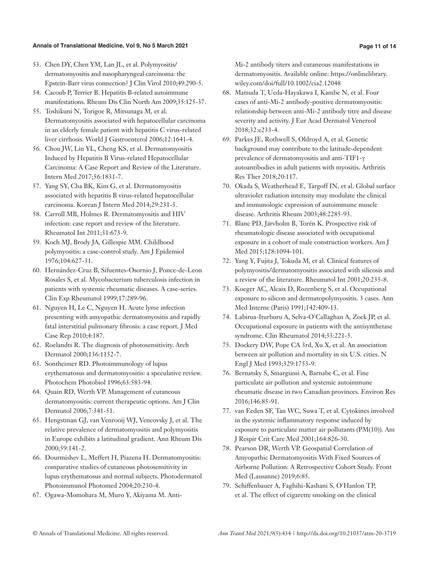- 53. Chen DY, Chen YM, Lan JL, et al. Polymyositis/ dermatomyositis and nasopharyngeal carcinoma: the Epstein-Barr virus connection? J Clin Virol 2010;49:290-5.
- 54. Cacoub P, Terrier B. Hepatitis B-related autoimmune manifestations. Rheum Dis Clin North Am 2009;35:125-37.
- 55. Toshikuni N, Torigoe R, Mitsunaga M, et al. Dermatomyositis associated with hepatocellular carcinoma in an elderly female patient with hepatitis C virus-related liver cirrhosis. World J Gastroenterol 2006;12:1641-4.
- 56. Chou JW, Lin YL, Cheng KS, et al. Dermatomyositis Induced by Hepatitis B Virus-related Hepatocellular Carcinoma: A Case Report and Review of the Literature. Intern Med 2017;56:1831-7.
- 57. Yang SY, Cha BK, Kim G, et al. Dermatomyositis associated with hepatitis B virus-related hepatocellular carcinoma. Korean J Intern Med 2014;29:231-5.
- 58. Carroll MB, Holmes R. Dermatomyositis and HIV infection: case report and review of the literature. Rheumatol Int 2011;31:673-9.
- 59. Koch MJ, Brody JA, Gillespie MM. Childhood polymyositis: a case-control study. Am J Epidemiol 1976;104:627-31.
- 60. Hernández-Cruz B, Sifuentes-Osornio J, Ponce-de-Leon Rosales S, et al. Mycobacterium tuberculosis infection in patients with systemic rheumatic diseases. A case-series. Clin Exp Rheumatol 1999;17:289-96.
- 61. Nguyen H, Le C, Nguyen H. Acute lyme infection presenting with amyopathic dermatomyositis and rapidly fatal interstitial pulmonary fibrosis: a case report. J Med Case Rep 2010;4:187.
- 62. Roelandts R. The diagnosis of photosensitivity. Arch Dermatol 2000;136:1152-7.
- 63. Sontheimer RD. Photoimmunology of lupus erythematosus and dermatomyositis: a speculative review. Photochem Photobiol 1996;63:583-94.
- 64. Quain RD, Werth VP. Management of cutaneous dermatomyositis: current therapeutic options. Am J Clin Dermatol 2006;7:341-51.
- 65. Hengstman GJ, van Venrooij WJ, Vencovsky J, et al. The relative prevalence of dermatomyositis and polymyositis in Europe exhibits a latitudinal gradient. Ann Rheum Dis 2000;59:141-2.
- 66. Dourmishev L, Meffert H, Piazena H. Dermatomyositis: comparative studies of cutaneous photosensitivity in lupus erythematosus and normal subjects. Photodermatol Photoimmunol Photomed 2004;20:230-4.
- 67. Ogawa-Momohara M, Muro Y, Akiyama M. Anti-

Mi-2 antibody titers and cutaneous manifestations in dermatomyositis. Available online: https://onlinelibrary. wiley.com/doi/full/10.1002/cia2.12048

- 68. Matsuda T, Ueda-Hayakawa I, Kambe N, et al. Four cases of anti-Mi-2 antibody-positive dermatomyositis: relationship between anti-Mi-2 antibody titre and disease severity and activity. J Eur Acad Dermatol Venereol 2018;32:e233-4.
- 69. Parkes JE, Rothwell S, Oldroyd A, et al. Genetic background may contribute to the latitude-dependent prevalence of dermatomyositis and anti-TIF1-γ autoantibodies in adult patients with myositis. Arthritis Res Ther 2018;20:117.
- 70. Okada S, Weatherhead E, Targoff IN, et al. Global surface ultraviolet radiation intensity may modulate the clinical and immunologic expression of autoimmune muscle disease. Arthritis Rheum 2003;48:2285-93.
- 71. Blanc PD, Järvholm B, Torén K. Prospective risk of rheumatologic disease associated with occupational exposure in a cohort of male construction workers. Am J Med 2015;128:1094-101.
- 72. Yang Y, Fujita J, Tokuda M, et al. Clinical features of polymyositis/dermatomyositis associated with silicosis and a review of the literature. Rheumatol Int 2001;20:235-8.
- 73. Koeger AC, Alcaix D, Rozenberg S, et al. Occupational exposure to silicon and dermatopolymyositis. 3 cases. Ann Med Interne (Paris) 1991;142:409-13.
- 74. Labirua-Iturburu A, Selva-O'Callaghan A, Zock JP, et al. Occupational exposure in patients with the antisynthetase syndrome. Clin Rheumatol 2014;33:221-5.
- 75. Dockery DW, Pope CA 3rd, Xu X, et al. An association between air pollution and mortality in six U.S. cities. N Engl J Med 1993;329:1753-9.
- 76. Bernatsky S, Smargiassi A, Barnabe C, et al. Fine particulate air pollution and systemic autoimmune rheumatic disease in two Canadian provinces. Environ Res 2016;146:85-91.
- 77. van Eeden SF, Tan WC, Suwa T, et al. Cytokines involved in the systemic inflammatory response induced by exposure to particulate matter air pollutants (PM(10)). Am J Respir Crit Care Med 2001;164:826-30.
- 78. Pearson DR, Werth VP. Geospatial Correlation of Amyopathic Dermatomyositis With Fixed Sources of Airborne Pollution: A Retrospective Cohort Study. Front Med (Lausanne) 2019;6:85.
- 79. Schiffenbauer A, Faghihi-Kashani S, O'Hanlon TP, et al. The effect of cigarette smoking on the clinical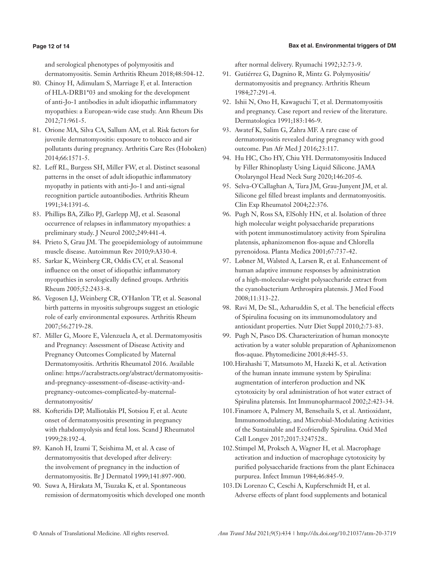# **Bax et al. Environmental triggers of DM**

# **Page 12 of 14**

and serological phenotypes of polymyositis and dermatomyositis. Semin Arthritis Rheum 2018;48:504-12.

- 80. Chinoy H, Adimulam S, Marriage F, et al. Interaction of HLA-DRB1\*03 and smoking for the development of anti-Jo-1 antibodies in adult idiopathic inflammatory myopathies: a European-wide case study. Ann Rheum Dis 2012;71:961-5.
- 81. Orione MA, Silva CA, Sallum AM, et al. Risk factors for juvenile dermatomyositis: exposure to tobacco and air pollutants during pregnancy. Arthritis Care Res (Hoboken) 2014;66:1571-5.
- 82. Leff RL, Burgess SH, Miller FW, et al. Distinct seasonal patterns in the onset of adult idiopathic inflammatory myopathy in patients with anti-Jo-1 and anti-signal recognition particle autoantibodies. Arthritis Rheum 1991;34:1391-6.
- 83. Phillips BA, Zilko PJ, Garlepp MJ, et al. Seasonal occurrence of relapses in inflammatory myopathies: a preliminary study. J Neurol 2002;249:441-4.
- 84. Prieto S, Grau JM. The geoepidemiology of autoimmune muscle disease. Autoimmun Rev 2010;9:A330-4.
- 85. Sarkar K, Weinberg CR, Oddis CV, et al. Seasonal influence on the onset of idiopathic inflammatory myopathies in serologically defined groups. Arthritis Rheum 2005;52:2433-8.
- 86. Vegosen LJ, Weinberg CR, O'Hanlon TP, et al. Seasonal birth patterns in myositis subgroups suggest an etiologic role of early environmental exposures. Arthritis Rheum 2007;56:2719-28.
- 87. Miller G, Moore E, Valenzuela A, et al. Dermatomyositis and Pregnancy: Assessment of Disease Activity and Pregnancy Outcomes Complicated by Maternal Dermatomyositis. Arthritis Rheumatol 2016. Available online: https://acrabstracts.org/abstract/dermatomyositisand-pregnancy-assessment-of-disease-activity-andpregnancy-outcomes-complicated-by-maternaldermatomyositis/
- 88. Kofteridis DP, Malliotakis PI, Sotsiou F, et al. Acute onset of dermatomyositis presenting in pregnancy with rhabdomyolysis and fetal loss. Scand J Rheumatol 1999;28:192-4.
- 89. Kanoh H, Izumi T, Seishima M, et al. A case of dermatomyositis that developed after delivery: the involvement of pregnancy in the induction of dermatomyositis. Br J Dermatol 1999;141:897-900.
- 90. Suwa A, Hirakata M, Tsuzaka K, et al. Spontaneous remission of dermatomyositis which developed one month

after normal delivery. Ryumachi 1992;32:73-9.

- 91. Gutiérrez G, Dagnino R, Mintz G. Polymyositis/ dermatomyositis and pregnancy. Arthritis Rheum 1984;27:291-4.
- 92. Ishii N, Ono H, Kawaguchi T, et al. Dermatomyositis and pregnancy. Case report and review of the literature. Dermatologica 1991;183:146-9.
- 93. Awatef K, Salim G, Zahra MF. A rare case of dermatomyositis revealed during pregnancy with good outcome. Pan Afr Med J 2016;23:117.
- 94. Hu HC, Cho HY, Chiu YH. Dermatomyositis Induced by Filler Rhinoplasty Using Liquid Silicone. JAMA Otolaryngol Head Neck Surg 2020;146:205-6.
- 95. Selva-O'Callaghan A, Tura JM, Grau-Junyent JM, et al. Silicone gel filled breast implants and dermatomyositis. Clin Exp Rheumatol 2004;22:376.
- 96. Pugh N, Ross SA, ElSohly HN, et al. Isolation of three high molecular weight polysaccharide preparations with potent immunostimulatory activity from Spirulina platensis, aphanizomenon flos-aquae and Chlorella pyrenoidosa. Planta Medica 2001;67:737-42.
- 97. Løbner M, Walsted A, Larsen R, et al. Enhancement of human adaptive immune responses by administration of a high-molecular-weight polysaccharide extract from the cyanobacterium Arthrospira platensis. J Med Food 2008;11:313-22.
- 98. Ravi M, De SL, Azharuddin S, et al. The beneficial effects of Spirulina focusing on its immunomodulatory and antioxidant properties. Nutr Diet Suppl 2010;2:73-83.
- 99. Pugh N, Pasco DS. Characterization of human monocyte activation by a water soluble preparation of Aphanizomenon flos-aquae. Phytomedicine 2001;8:445-53.
- 100.Hirahashi T, Matsumoto M, Hazeki K, et al. Activation of the human innate immune system by Spirulina: augmentation of interferon production and NK cytotoxicity by oral administration of hot water extract of Spirulina platensis. Int Immunopharmacol 2002;2:423-34.
- 101.Finamore A, Palmery M, Bensehaila S, et al. Antioxidant, Immunomodulating, and Microbial-Modulating Activities of the Sustainable and Ecofriendly Spirulina. Oxid Med Cell Longev 2017;2017:3247528..
- 102.Stimpel M, Proksch A, Wagner H, et al. Macrophage activation and induction of macrophage cytotoxicity by purified polysaccharide fractions from the plant Echinacea purpurea. Infect Immun 1984;46:845-9.
- 103.Di Lorenzo C, Ceschi A, Kupferschmidt H, et al. Adverse effects of plant food supplements and botanical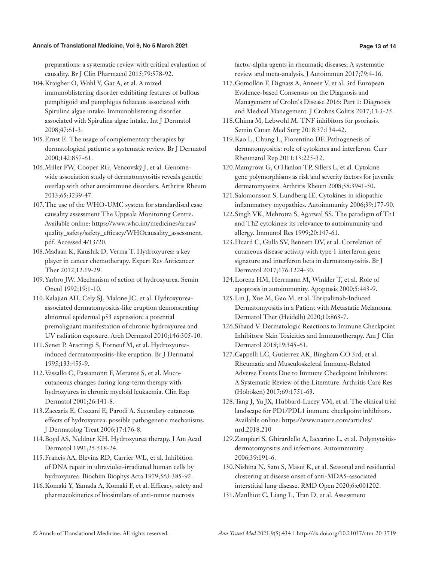#### **Annals of Translational Medicine, Vol 9, No 5 March 2021 Page 13 of 14**

preparations: a systematic review with critical evaluation of causality. Br J Clin Pharmacol 2015;79:578-92.

- 104.Kraigher O, Wohl Y, Gat A, et al. A mixed immunoblistering disorder exhibiting features of bullous pemphigoid and pemphigus foliaceus associated with Spirulina algae intake: Immunoblistering disorder associated with Spirulina algae intake. Int J Dermatol 2008;47:61-3.
- 105.Ernst E. The usage of complementary therapies by dermatological patients: a systematic review. Br J Dermatol 2000;142:857-61.
- 106.Miller FW, Cooper RG, Vencovský J, et al. Genomewide association study of dermatomyositis reveals genetic overlap with other autoimmune disorders. Arthritis Rheum 2013;65:3239-47.
- 107.The use of the WHO-UMC system for standardised case causality assessment The Uppsala Monitoring Centre. Available online: https://www.who.int/medicines/areas/ quality\_safety/safety\_efficacy/WHOcausality\_assessment. pdf. Accessed 4/13/20.
- 108.Madaan K, Kaushik D, Verma T. Hydroxyurea: a key player in cancer chemotherapy. Expert Rev Anticancer Ther 2012;12:19-29.
- 109.Yarbro JW. Mechanism of action of hydroxyurea. Semin Oncol 1992;19:1-10.
- 110.Kalajian AH, Cely SJ, Malone JC, et al. Hydroxyureaassociated dermatomyositis-like eruption demonstrating abnormal epidermal p53 expression: a potential premalignant manifestation of chronic hydroxyurea and UV radiation exposure. Arch Dermatol 2010;146:305-10.
- 111.Senet P, Aractingi S, Porneuf M, et al. Hydroxyureainduced dermatomyositis-like eruption. Br J Dermatol 1995;133:455-9.
- 112.Vassallo C, Passamonti F, Merante S, et al. Mucocutaneous changes during long-term therapy with hydroxyurea in chronic myeloid leukaemia. Clin Exp Dermatol 2001;26:141-8.
- 113.Zaccaria E, Cozzani E, Parodi A. Secondary cutaneous effects of hydroxyurea: possible pathogenetic mechanisms. J Dermatolog Treat 2006;17:176-8.
- 114.Boyd AS, Neldner KH. Hydroxyurea therapy. J Am Acad Dermatol 1991;25:518-24.
- 115.Francis AA, Blevins RD, Carrier WL, et al. Inhibition of DNA repair in ultraviolet-irradiated human cells by hydroxyurea. Biochim Biophys Acta 1979;563:385-92.
- 116.Komaki Y, Yamada A, Komaki F, et al. Efficacy, safety and pharmacokinetics of biosimilars of anti-tumor necrosis

factor-alpha agents in rheumatic diseases; A systematic review and meta-analysis. J Autoimmun 2017;79:4-16.

- 117.Gomollón F, Dignass A, Annese V, et al. 3rd European Evidence-based Consensus on the Diagnosis and Management of Crohn's Disease 2016: Part 1: Diagnosis and Medical Management. J Crohns Colitis 2017;11:3-25.
- 118.Chima M, Lebwohl M. TNF inhibitors for psoriasis. Semin Cutan Med Surg 2018;37:134-42.
- 119.Kao L, Chung L, Fiorentino DF. Pathogenesis of dermatomyositis: role of cytokines and interferon. Curr Rheumatol Rep 2011;13:225-32.
- 120.Mamyrova G, O'Hanlon TP, Sillers L, et al. Cytokine gene polymorphisms as risk and severity factors for juvenile dermatomyositis. Arthritis Rheum 2008;58:3941-50.
- 121.Salomonsson S, Lundberg IE. Cytokines in idiopathic inflammatory myopathies. Autoimmunity 2006;39:177-90.
- 122.Singh VK, Mehrotra S, Agarwal SS. The paradigm of Th1 and Th2 cytokines: its relevance to autoimmunity and allergy. Immunol Res 1999;20:147-61.
- 123.Huard C, Gulla SV, Bennett DV, et al. Correlation of cutaneous disease activity with type 1 interferon gene signature and interferon beta in dermatomyositis. Br J Dermatol 2017;176:1224-30.
- 124.Lorenz HM, Herrmann M, Winkler T, et al. Role of apoptosis in autoimmunity. Apoptosis 2000;5:443-9.
- 125.Lin J, Xue M, Gao M, et al. Toripalimab-Induced Dermatomyositis in a Patient with Metastatic Melanoma. Dermatol Ther (Heidelb) 2020;10:863-7.
- 126.Sibaud V. Dermatologic Reactions to Immune Checkpoint Inhibitors: Skin Toxicities and Immunotherapy. Am J Clin Dermatol 2018;19:345-61.
- 127.Cappelli LC, Gutierrez AK, Bingham CO 3rd, et al. Rheumatic and Musculoskeletal Immune-Related Adverse Events Due to Immune Checkpoint Inhibitors: A Systematic Review of the Literature. Arthritis Care Res (Hoboken) 2017;69:1751-63.
- 128.Tang J, Yu JX, Hubbard-Lucey VM, et al. The clinical trial landscape for PD1/PDL1 immune checkpoint inhibitors. Available online: https://www.nature.com/articles/ nrd.2018.210
- 129.Zampieri S, Ghirardello A, Iaccarino L, et al. Polymyositisdermatomyositis and infections. Autoimmunity 2006;39:191-6.
- 130.Nishina N, Sato S, Masui K, et al. Seasonal and residential clustering at disease onset of anti-MDA5-associated interstitial lung disease. RMD Open 2020;6:e001202.
- 131.Manlhiot C, Liang L, Tran D, et al. Assessment